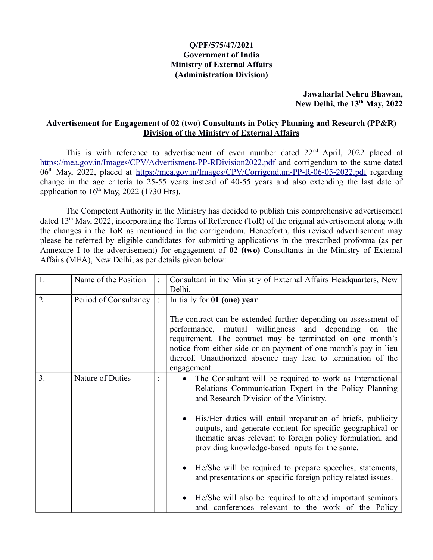### **Q/PF/575/47/2021 Government of India Ministry of External Affairs (Administration Division)**

#### **Jawaharlal Nehru Bhawan, New Delhi, the 13th May, 2022**

### **Advertisement for Engagement of 02 (two) Consultants in Policy Planning and Research (PP&R) Division of the Ministry of External Affairs**

This is with reference to advertisement of even number dated 22<sup>nd</sup> April, 2022 placed at <https://mea.gov.in/Images/CPV/Advertisment-PP-RDivision2022.pdf>and corrigendum to the same dated 06<sup>th</sup> May, 2022, placed at<https://mea.gov.in/Images/CPV/Corrigendum-PP-R-06-05-2022.pdf>regarding change in the age criteria to 25-55 years instead of 40-55 years and also extending the last date of application to  $16<sup>th</sup>$  May, 2022 (1730 Hrs).

The Competent Authority in the Ministry has decided to publish this comprehensive advertisement dated 13th May, 2022, incorporating the Terms of Reference (ToR) of the original advertisement along with the changes in the ToR as mentioned in the corrigendum. Henceforth, this revised advertisement may please be referred by eligible candidates for submitting applications in the prescribed proforma (as per Annexure I to the advertisement) for engagement of **02 (two)** Consultants in the Ministry of External Affairs (MEA), New Delhi, as per details given below:

| 1. | Name of the Position  | Consultant in the Ministry of External Affairs Headquarters, New                                                                                                                                                                                                            |  |  |
|----|-----------------------|-----------------------------------------------------------------------------------------------------------------------------------------------------------------------------------------------------------------------------------------------------------------------------|--|--|
|    |                       | Delhi.                                                                                                                                                                                                                                                                      |  |  |
| 2. | Period of Consultancy | Initially for 01 (one) year<br>The contract can be extended further depending on assessment of                                                                                                                                                                              |  |  |
|    |                       | performance, mutual willingness and depending<br>on<br>the<br>requirement. The contract may be terminated on one month's<br>notice from either side or on payment of one month's pay in lieu<br>thereof. Unauthorized absence may lead to termination of the<br>engagement. |  |  |
| 3. | Nature of Duties      | The Consultant will be required to work as International<br>٠<br>Relations Communication Expert in the Policy Planning<br>and Research Division of the Ministry.                                                                                                            |  |  |
|    |                       | His/Her duties will entail preparation of briefs, publicity<br>$\bullet$<br>outputs, and generate content for specific geographical or<br>thematic areas relevant to foreign policy formulation, and<br>providing knowledge-based inputs for the same.                      |  |  |
|    |                       | He/She will be required to prepare speeches, statements,<br>and presentations on specific foreign policy related issues.                                                                                                                                                    |  |  |
|    |                       | He/She will also be required to attend important seminars<br>and conferences relevant to the work of the Policy                                                                                                                                                             |  |  |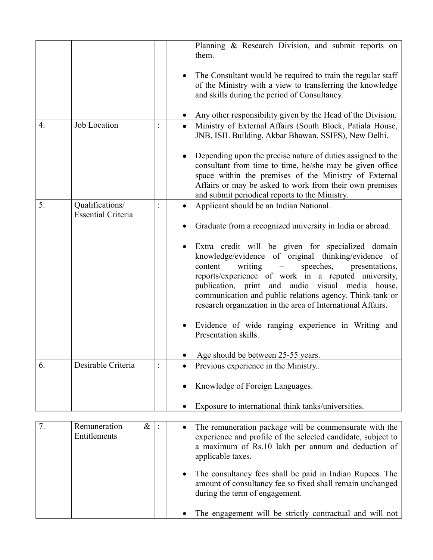|    |                                              | Planning & Research Division, and submit reports on<br>them.                                                                                                                                                                                                                                                                                                                                        |
|----|----------------------------------------------|-----------------------------------------------------------------------------------------------------------------------------------------------------------------------------------------------------------------------------------------------------------------------------------------------------------------------------------------------------------------------------------------------------|
|    |                                              | The Consultant would be required to train the regular staff<br>of the Ministry with a view to transferring the knowledge<br>and skills during the period of Consultancy.                                                                                                                                                                                                                            |
|    |                                              | Any other responsibility given by the Head of the Division.                                                                                                                                                                                                                                                                                                                                         |
| 4. | Job Location                                 | Ministry of External Affairs (South Block, Patiala House,<br>JNB, ISIL Building, Akbar Bhawan, SSIFS), New Delhi.                                                                                                                                                                                                                                                                                   |
|    |                                              | Depending upon the precise nature of duties assigned to the<br>consultant from time to time, he/she may be given office<br>space within the premises of the Ministry of External<br>Affairs or may be asked to work from their own premises<br>and submit periodical reports to the Ministry.                                                                                                       |
| 5. | Qualifications/<br><b>Essential Criteria</b> | Applicant should be an Indian National.                                                                                                                                                                                                                                                                                                                                                             |
|    |                                              | Graduate from a recognized university in India or abroad.                                                                                                                                                                                                                                                                                                                                           |
|    |                                              | Extra credit will be given for specialized domain<br>knowledge/evidence of original thinking/evidence of<br>speeches,<br>writing<br>content<br>presentations,<br>reports/experience of work in a reputed university,<br>publication, print and audio visual media house,<br>communication and public relations agency. Think-tank or<br>research organization in the area of International Affairs. |
|    |                                              | Evidence of wide ranging experience in Writing and<br>Presentation skills.                                                                                                                                                                                                                                                                                                                          |
|    |                                              | Age should be between 25-55 years.                                                                                                                                                                                                                                                                                                                                                                  |
| 6. | Desirable Criteria                           | Previous experience in the Ministry                                                                                                                                                                                                                                                                                                                                                                 |
|    |                                              | Knowledge of Foreign Languages.                                                                                                                                                                                                                                                                                                                                                                     |
|    |                                              | Exposure to international think tanks/universities.                                                                                                                                                                                                                                                                                                                                                 |
|    |                                              |                                                                                                                                                                                                                                                                                                                                                                                                     |
| 7. | Remuneration<br>$\&$<br>Entitlements         | The remuneration package will be commensurate with the<br>$\bullet$<br>experience and profile of the selected candidate, subject to<br>a maximum of Rs.10 lakh per annum and deduction of<br>applicable taxes.                                                                                                                                                                                      |
|    |                                              | The consultancy fees shall be paid in Indian Rupees. The<br>amount of consultancy fee so fixed shall remain unchanged<br>during the term of engagement.                                                                                                                                                                                                                                             |
|    |                                              | The engagement will be strictly contractual and will not                                                                                                                                                                                                                                                                                                                                            |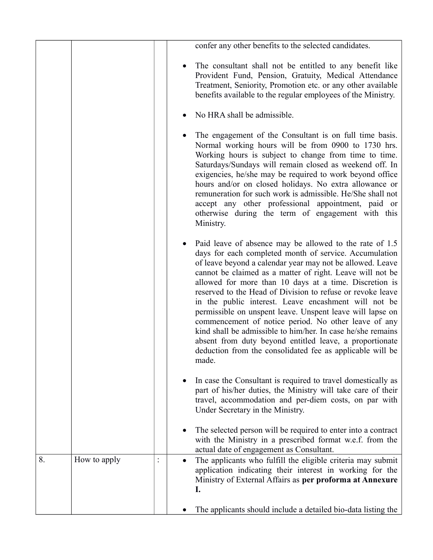|    |              | confer any other benefits to the selected candidates.                                                                                                                                                                                                                                                                                                                                                                                                                                                                                                                                                                                                                                                                                            |
|----|--------------|--------------------------------------------------------------------------------------------------------------------------------------------------------------------------------------------------------------------------------------------------------------------------------------------------------------------------------------------------------------------------------------------------------------------------------------------------------------------------------------------------------------------------------------------------------------------------------------------------------------------------------------------------------------------------------------------------------------------------------------------------|
|    |              | The consultant shall not be entitled to any benefit like<br>Provident Fund, Pension, Gratuity, Medical Attendance<br>Treatment, Seniority, Promotion etc. or any other available<br>benefits available to the regular employees of the Ministry.                                                                                                                                                                                                                                                                                                                                                                                                                                                                                                 |
|    |              | No HRA shall be admissible.                                                                                                                                                                                                                                                                                                                                                                                                                                                                                                                                                                                                                                                                                                                      |
|    |              | The engagement of the Consultant is on full time basis.<br>Normal working hours will be from 0900 to 1730 hrs.<br>Working hours is subject to change from time to time.<br>Saturdays/Sundays will remain closed as weekend off. In<br>exigencies, he/she may be required to work beyond office<br>hours and/or on closed holidays. No extra allowance or<br>remuneration for such work is admissible. He/She shall not<br>accept any other professional appointment, paid or<br>otherwise during the term of engagement with this<br>Ministry.                                                                                                                                                                                                   |
|    |              | Paid leave of absence may be allowed to the rate of 1.5<br>days for each completed month of service. Accumulation<br>of leave beyond a calendar year may not be allowed. Leave<br>cannot be claimed as a matter of right. Leave will not be<br>allowed for more than 10 days at a time. Discretion is<br>reserved to the Head of Division to refuse or revoke leave<br>in the public interest. Leave encashment will not be<br>permissible on unspent leave. Unspent leave will lapse on<br>commencement of notice period. No other leave of any<br>kind shall be admissible to him/her. In case he/she remains<br>absent from duty beyond entitled leave, a proportionate<br>deduction from the consolidated fee as applicable will be<br>made. |
|    |              | In case the Consultant is required to travel domestically as<br>part of his/her duties, the Ministry will take care of their<br>travel, accommodation and per-diem costs, on par with<br>Under Secretary in the Ministry.                                                                                                                                                                                                                                                                                                                                                                                                                                                                                                                        |
|    |              | The selected person will be required to enter into a contract<br>with the Ministry in a prescribed format w.e.f. from the<br>actual date of engagement as Consultant.                                                                                                                                                                                                                                                                                                                                                                                                                                                                                                                                                                            |
| 8. | How to apply | The applicants who fulfill the eligible criteria may submit<br>application indicating their interest in working for the<br>Ministry of External Affairs as per proforma at Annexure<br>I.                                                                                                                                                                                                                                                                                                                                                                                                                                                                                                                                                        |
|    |              | The applicants should include a detailed bio-data listing the                                                                                                                                                                                                                                                                                                                                                                                                                                                                                                                                                                                                                                                                                    |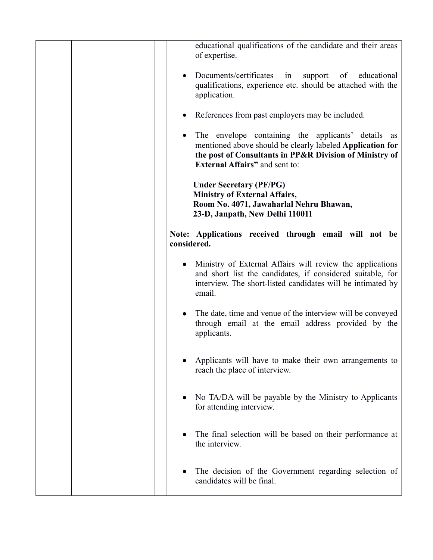|  | educational qualifications of the candidate and their areas<br>of expertise.<br>Documents/certificates<br>in<br>educational<br>support<br>of<br>qualifications, experience etc. should be attached with the<br>application.<br>References from past employers may be included.<br>The envelope containing the applicants' details<br>as<br>mentioned above should be clearly labeled Application for<br>the post of Consultants in PP&R Division of Ministry of<br><b>External Affairs</b> " and sent to:<br><b>Under Secretary (PF/PG)</b><br><b>Ministry of External Affairs,</b> |
|--|-------------------------------------------------------------------------------------------------------------------------------------------------------------------------------------------------------------------------------------------------------------------------------------------------------------------------------------------------------------------------------------------------------------------------------------------------------------------------------------------------------------------------------------------------------------------------------------|
|  | Room No. 4071, Jawaharlal Nehru Bhawan,<br>23-D, Janpath, New Delhi 110011<br>Note: Applications received through email will not be<br>considered.                                                                                                                                                                                                                                                                                                                                                                                                                                  |
|  | Ministry of External Affairs will review the applications<br>and short list the candidates, if considered suitable, for<br>interview. The short-listed candidates will be intimated by<br>email.                                                                                                                                                                                                                                                                                                                                                                                    |
|  | The date, time and venue of the interview will be conveyed<br>through email at the email address provided by the<br>applicants.                                                                                                                                                                                                                                                                                                                                                                                                                                                     |
|  | Applicants will have to make their own arrangements to<br>reach the place of interview.                                                                                                                                                                                                                                                                                                                                                                                                                                                                                             |
|  | No TA/DA will be payable by the Ministry to Applicants<br>for attending interview.                                                                                                                                                                                                                                                                                                                                                                                                                                                                                                  |
|  | The final selection will be based on their performance at<br>the interview.                                                                                                                                                                                                                                                                                                                                                                                                                                                                                                         |
|  | The decision of the Government regarding selection of<br>candidates will be final.                                                                                                                                                                                                                                                                                                                                                                                                                                                                                                  |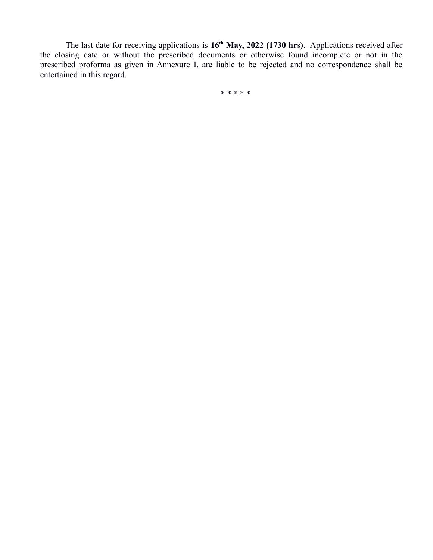The last date for receiving applications is **16th May, 2022 (1730 hrs)**. Applications received after the closing date or without the prescribed documents or otherwise found incomplete or not in the prescribed proforma as given in Annexure I, are liable to be rejected and no correspondence shall be entertained in this regard.

\* \* \* \* \*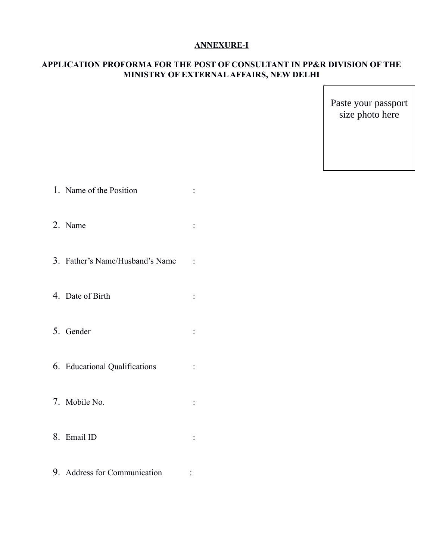## **ANNEXURE-I**

# **APPLICATION PROFORMA FOR THE POST OF CONSULTANT IN PP&R DIVISION OF THE MINISTRY OF EXTERNAL AFFAIRS, NEW DELHI**

Paste your passport size photo here

| 1. Name of the Position         |                |
|---------------------------------|----------------|
| 2. Name                         |                |
| 3. Father's Name/Husband's Name | $\ddot{\cdot}$ |
| 4. Date of Birth                |                |
| 5. Gender                       |                |
| 6. Educational Qualifications   |                |
| 7. Mobile No.                   |                |
| 8. Email ID                     |                |
| 9. Address for Communication    |                |